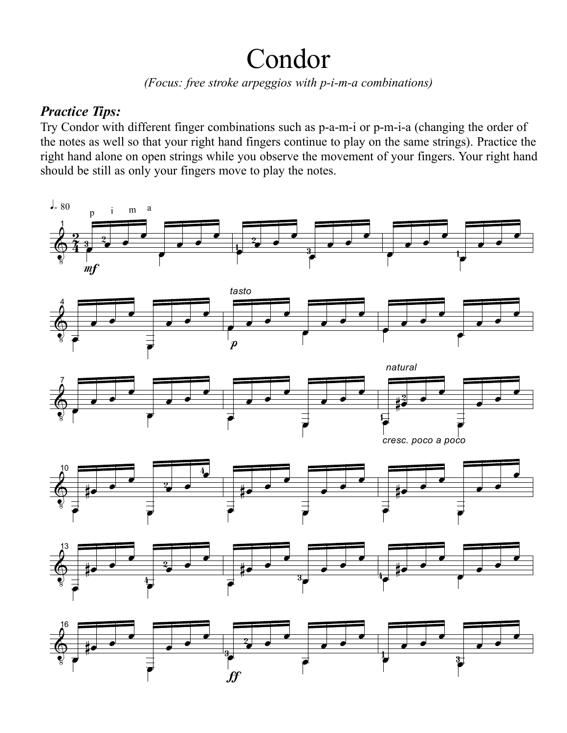## Condor

*(Focus: free stroke arpeggios with p-i-m-a combinations)*

## *Practice Tips:*

Try Condor with different finger combinations such as p-a-m-i or p-m-i-a (changing the order of the notes as well so that your right hand fingers continue to play on the same strings). Practice the right hand alone on open strings while you observe the movement of your fingers. Your right hand should be still as only your fingers move to play the notes.